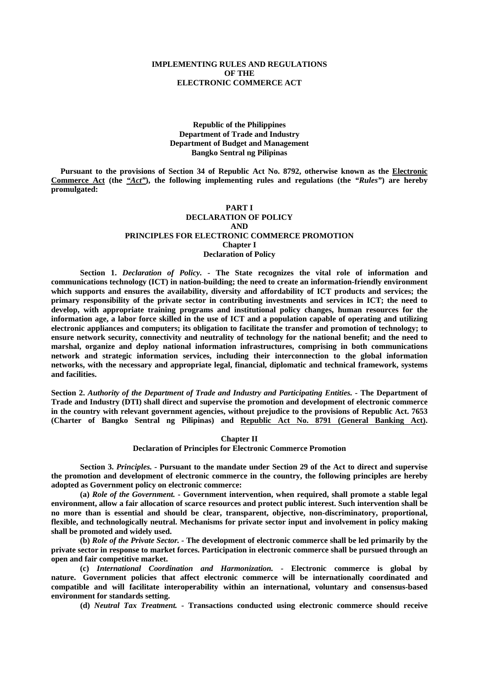## **IMPLEMENTING RULES AND REGULATIONS OF THE ELECTRONIC COMMERCE ACT**

## **Republic of the Philippines Department of Trade and Industry Department of Budget and Management Bangko Sentral ng Pilipinas**

 **Pursuant to the provisions of Section 34 of Republic Act No. 8792, otherwise known as the Electronic Commerce Act (the** *"Act"***), the following implementing rules and regulations (the** *"Rules"***) are hereby promulgated:**

## **PART I DECLARATION OF POLICY AND PRINCIPLES FOR ELECTRONIC COMMERCE PROMOTION Chapter I Declaration of Policy**

**Section 1.** *Declaration of Policy. -* **The State recognizes the vital role of information and communications technology (ICT) in nation-building; the need to create an information-friendly environment which supports and ensures the availability, diversity and affordability of ICT products and services; the primary responsibility of the private sector in contributing investments and services in ICT; the need to develop, with appropriate training programs and institutional policy changes, human resources for the information age, a labor force skilled in the use of ICT and a population capable of operating and utilizing electronic appliances and computers; its obligation to facilitate the transfer and promotion of technology; to ensure network security, connectivity and neutrality of technology for the national benefit; and the need to marshal, organize and deploy national information infrastructures, comprising in both communications network and strategic information services, including their interconnection to the global information networks, with the necessary and appropriate legal, financial, diplomatic and technical framework, systems and facilities.**

**Section 2.** *Authority of the Department of Trade and Industry and Participating Entities. -* **The Department of Trade and Industry (DTI) shall direct and supervise the promotion and development of electronic commerce in the country with relevant government agencies, without prejudice to the provisions of Republic Act. 7653 (Charter of Bangko Sentral ng Pilipinas) and Republic Act No. 8791 (General Banking Act).**

**Chapter II**

**Declaration of Principles for Electronic Commerce Promotion**

**Section 3.** *Principles. -* **Pursuant to the mandate under Section 29 of the Act to direct and supervise the promotion and development of electronic commerce in the country, the following principles are hereby adopted as Government policy on electronic commerce:**

**(a)** *Role of the Government.* **- Government intervention, when required, shall promote a stable legal environment, allow a fair allocation of scarce resources and protect public interest. Such intervention shall be no more than is essential and should be clear, transparent, objective, non-discriminatory, proportional, flexible, and technologically neutral. Mechanisms for private sector input and involvement in policy making shall be promoted and widely used.**

**(b)** *Role of the Private Sector. -* **The development of electronic commerce shall be led primarily by the private sector in response to market forces. Participation in electronic commerce shall be pursued through an open and fair competitive market.**

**(c)** *International Coordination and Harmonization. -* **Electronic commerce is global by nature. Government policies that affect electronic commerce will be internationally coordinated and compatible and will facilitate interoperability within an international, voluntary and consensus-based environment for standards setting.**

**(d)** *Neutral Tax Treatment. -* **Transactions conducted using electronic commerce should receive**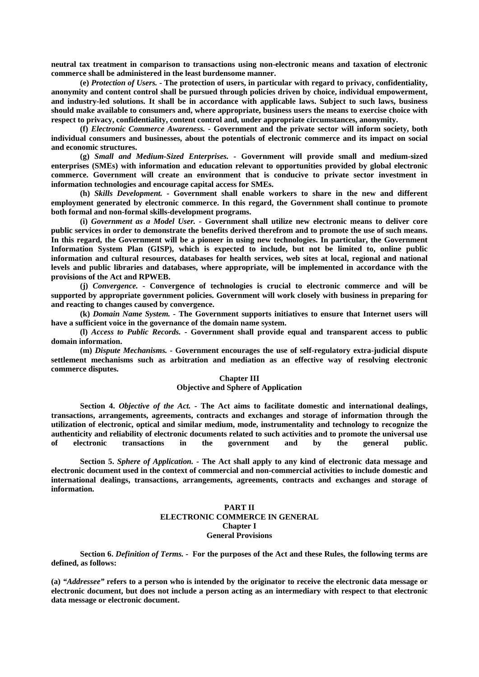**neutral tax treatment in comparison to transactions using non-electronic means and taxation of electronic commerce shall be administered in the least burdensome manner.**

**(e)** *Protection of Users. -* **The protection of users, in particular with regard to privacy, confidentiality, anonymity and content control shall be pursued through policies driven by choice, individual empowerment, and industry-led solutions. It shall be in accordance with applicable laws. Subject to such laws, business should make available to consumers and, where appropriate, business users the means to exercise choice with respect to privacy, confidentiality, content control and, under appropriate circumstances, anonymity.**

**(f)** *Electronic Commerce Awareness. -* **Government and the private sector will inform society, both individual consumers and businesses, about the potentials of electronic commerce and its impact on social and economic structures.**

**(g)** *Small and Medium-Sized Enterprises. -* **Government will provide small and medium-sized enterprises (SMEs) with information and education relevant to opportunities provided by global electronic commerce. Government will create an environment that is conducive to private sector investment in information technologies and encourage capital access for SMEs.**

**(h)** *Skills Development. -* **Government shall enable workers to share in the new and different employment generated by electronic commerce. In this regard, the Government shall continue to promote both formal and non-formal skills-development programs.**

**(i)** *Government as a Model User. -* **Government shall utilize new electronic means to deliver core public services in order to demonstrate the benefits derived therefrom and to promote the use of such means. In this regard, the Government will be a pioneer in using new technologies. In particular, the Government Information System Plan (GISP), which is expected to include, but not be limited to, online public information and cultural resources, databases for health services, web sites at local, regional and national levels and public libraries and databases, where appropriate, will be implemented in accordance with the provisions of the Act and RPWEB.**

**(j)** *Convergence. -* **Convergence of technologies is crucial to electronic commerce and will be supported by appropriate government policies. Government will work closely with business in preparing for and reacting to changes caused by convergence.**

**(k)** *Domain Name System. -* **The Government supports initiatives to ensure that Internet users will have a sufficient voice in the governance of the domain name system.**

**(l)** *Access to Public Records. -* **Government shall provide equal and transparent access to public domain information.**

**(m)** *Dispute Mechanisms. -* **Government encourages the use of self-regulatory extra-judicial dispute settlement mechanisms such as arbitration and mediation as an effective way of resolving electronic commerce disputes.**

### **Chapter III Objective and Sphere of Application**

**Section 4.** *Objective of the Act. -* **The Act aims to facilitate domestic and international dealings, transactions, arrangements, agreements, contracts and exchanges and storage of information through the utilization of electronic, optical and similar medium, mode, instrumentality and technology to recognize the authenticity and reliability of electronic documents related to such activities and to promote the universal use of electronic transactions in the government and by the general public.**

**Section 5.** *Sphere of Application. -* **The Act shall apply to any kind of electronic data message and electronic document used in the context of commercial and non-commercial activities to include domestic and international dealings, transactions, arrangements, agreements, contracts and exchanges and storage of information.**

## **PART II ELECTRONIC COMMERCE IN GENERAL Chapter I General Provisions**

**Section 6.** *Definition of Terms. -* **For the purposes of the Act and these Rules, the following terms are defined, as follows:**

**(a)** *"Addressee"* **refers to a person who is intended by the originator to receive the electronic data message or electronic document, but does not include a person acting as an intermediary with respect to that electronic data message or electronic document.**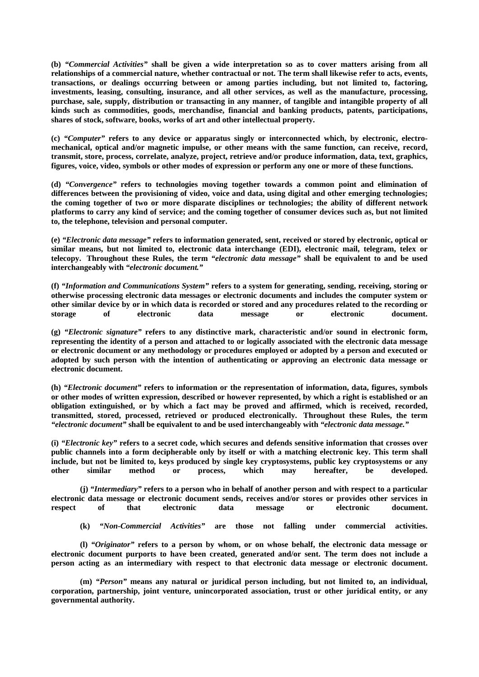**(b)** *"Commercial Activities"* **shall be given a wide interpretation so as to cover matters arising from all relationships of a commercial nature, whether contractual or not. The term shall likewise refer to acts, events, transactions, or dealings occurring between or among parties including, but not limited to, factoring, investments, leasing, consulting, insurance, and all other services, as well as the manufacture, processing, purchase, sale, supply, distribution or transacting in any manner, of tangible and intangible property of all kinds such as commodities, goods, merchandise, financial and banking products, patents, participations, shares of stock, software, books, works of art and other intellectual property.**

**(c)** *"Computer"* **refers to any device or apparatus singly or interconnected which, by electronic, electromechanical, optical and/or magnetic impulse, or other means with the same function, can receive, record, transmit, store, process, correlate, analyze, project, retrieve and/or produce information, data, text, graphics, figures, voice, video, symbols or other modes of expression or perform any one or more of these functions.**

**(d)** *"Convergence"* **refers to technologies moving together towards a common point and elimination of differences between the provisioning of video, voice and data, using digital and other emerging technologies; the coming together of two or more disparate disciplines or technologies; the ability of different network platforms to carry any kind of service; and the coming together of consumer devices such as, but not limited to, the telephone, television and personal computer.**

**(e)** *"Electronic data message"* **refers to information generated, sent, received or stored by electronic, optical or similar means, but not limited to, electronic data interchange (EDI), electronic mail, telegram, telex or telecopy. Throughout these Rules, the term** *"electronic data message"* **shall be equivalent to and be used interchangeably with** *"electronic document."*

**(f)** *"Information and Communications System"* **refers to a system for generating, sending, receiving, storing or otherwise processing electronic data messages or electronic documents and includes the computer system or other similar device by or in which data is recorded or stored and any procedures related to the recording or storage of electronic data message or electronic document.**

**(g)** *"Electronic signature"* **refers to any distinctive mark, characteristic and/or sound in electronic form, representing the identity of a person and attached to or logically associated with the electronic data message or electronic document or any methodology or procedures employed or adopted by a person and executed or adopted by such person with the intention of authenticating or approving an electronic data message or electronic document.**

**(h)** *"Electronic document"* **refers to information or the representation of information, data, figures, symbols or other modes of written expression, described or however represented, by which a right is established or an obligation extinguished, or by which a fact may be proved and affirmed, which is received, recorded, transmitted, stored, processed, retrieved or produced electronically. Throughout these Rules, the term**  *"electronic document"* **shall be equivalent to and be used interchangeably with** *"electronic data message."*

**(i)** *"Electronic key"* **refers to a secret code, which secures and defends sensitive information that crosses over public channels into a form decipherable only by itself or with a matching electronic key. This term shall include, but not be limited to, keys produced by single key cryptosystems, public key cryptosystems or any other similar method or process, which may hereafter, be developed.**

**(j)** *"Intermediary"* **refers to a person who in behalf of another person and with respect to a particular electronic data message or electronic document sends, receives and/or stores or provides other services in respect of that electronic data message or electronic document.**

**(k)** *"Non-Commercial Activities"* **are those not falling under commercial activities.**

**(l)** *"Originator"* **refers to a person by whom, or on whose behalf, the electronic data message or electronic document purports to have been created, generated and/or sent. The term does not include a person acting as an intermediary with respect to that electronic data message or electronic document.**

**(m)** *"Person"* **means any natural or juridical person including, but not limited to, an individual, corporation, partnership, joint venture, unincorporated association, trust or other juridical entity, or any governmental authority.**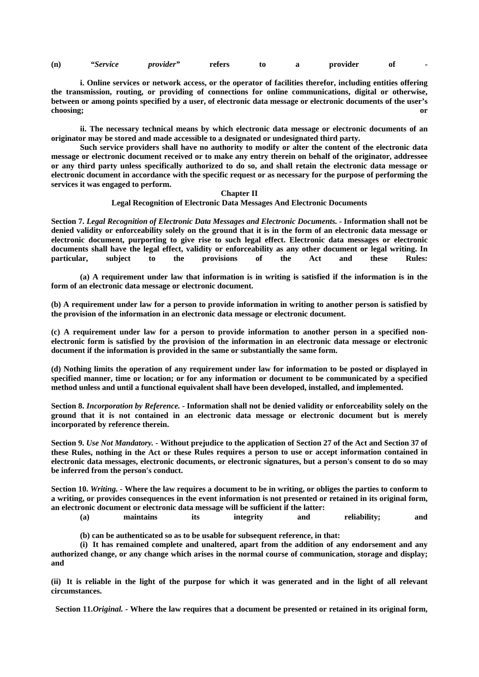|  | (n) | <i>"Service</i> | <i>provider</i> | refers |  |  | provider | Оİ |  |
|--|-----|-----------------|-----------------|--------|--|--|----------|----|--|
|--|-----|-----------------|-----------------|--------|--|--|----------|----|--|

**i. Online services or network access, or the operator of facilities therefor, including entities offering the transmission, routing, or providing of connections for online communications, digital or otherwise, between or among points specified by a user, of electronic data message or electronic documents of the user's choosing; or**

**ii. The necessary technical means by which electronic data message or electronic documents of an originator may be stored and made accessible to a designated or undesignated third party.**

**Such service providers shall have no authority to modify or alter the content of the electronic data message or electronic document received or to make any entry therein on behalf of the originator, addressee or any third party unless specifically authorized to do so, and shall retain the electronic data message or electronic document in accordance with the specific request or as necessary for the purpose of performing the services it was engaged to perform.**

### **Chapter II**

#### **Legal Recognition of Electronic Data Messages And Electronic Documents**

**Section 7.** *Legal Recognition of Electronic Data Messages and Electronic Documents. -* **Information shall not be denied validity or enforceability solely on the ground that it is in the form of an electronic data message or electronic document, purporting to give rise to such legal effect. Electronic data messages or electronic documents shall have the legal effect, validity or enforceability as any other document or legal writing. In particular, subject to the provisions of the Act and these Rules:**

**(a) A requirement under law that information is in writing is satisfied if the information is in the form of an electronic data message or electronic document.**

**(b) A requirement under law for a person to provide information in writing to another person is satisfied by the provision of the information in an electronic data message or electronic document.**

**(c) A requirement under law for a person to provide information to another person in a specified nonelectronic form is satisfied by the provision of the information in an electronic data message or electronic document if the information is provided in the same or substantially the same form.**

**(d) Nothing limits the operation of any requirement under law for information to be posted or displayed in specified manner, time or location; or for any information or document to be communicated by a specified method unless and until a functional equivalent shall have been developed, installed, and implemented.**

**Section 8.** *Incorporation by Reference. -* **Information shall not be denied validity or enforceability solely on the ground that it is not contained in an electronic data message or electronic document but is merely incorporated by reference therein.**

**Section 9.** *Use Not Mandatory. -* **Without prejudice to the application of Section 27 of the Act and Section 37 of these Rules, nothing in the Act or these Rules requires a person to use or accept information contained in electronic data messages, electronic documents, or electronic signatures, but a person's consent to do so may be inferred from the person's conduct.**

**Section 10.** *Writing. -* **Where the law requires a document to be in writing, or obliges the parties to conform to a writing, or provides consequences in the event information is not presented or retained in its original form, an electronic document or electronic data message will be sufficient if the latter:**

**(a) maintains its integrity and reliability; and**

**(b) can be authenticated so as to be usable for subsequent reference, in that:**

**(i) It has remained complete and unaltered, apart from the addition of any endorsement and any authorized change, or any change which arises in the normal course of communication, storage and display; and**

**(ii) It is reliable in the light of the purpose for which it was generated and in the light of all relevant circumstances.**

 **Section 11.***Original. -* **Where the law requires that a document be presented or retained in its original form,**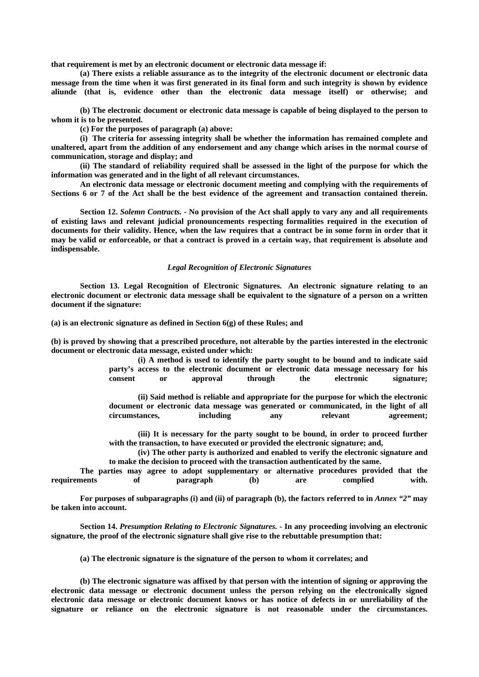**that requirement is met by an electronic document or electronic data message if:**

**(a) There exists a reliable assurance as to the integrity of the electronic document or electronic data message from the time when it was first generated in its final form and such integrity is shown by evidence aliunde (that is, evidence other than the electronic data message itself) or otherwise; and**

**(b) The electronic document or electronic data message is capable of being displayed to the person to whom it is to be presented.**

**(c) For the purposes of paragraph (a) above:**

**(i) The criteria for assessing integrity shall be whether the information has remained complete and unaltered, apart from the addition of any endorsement and any change which arises in the normal course of communication, storage and display; and**

**(ii) The standard of reliability required shall be assessed in the light of the purpose for which the information was generated and in the light of all relevant circumstances.**

**An electronic data message or electronic document meeting and complying with the requirements of Sections 6 or 7 of the Act shall be the best evidence of the agreement and transaction contained therein.**

**Section 12.** *Solemn Contracts. -* **No provision of the Act shall apply to vary any and all requirements of existing laws and relevant judicial pronouncements respecting formalities required in the execution of documents for their validity. Hence, when the law requires that a contract be in some form in order that it may be valid or enforceable, or that a contract is proved in a certain way, that requirement is absolute and indispensable.**

## *Legal Recognition of Electronic Signatures*

**Section 13. Legal Recognition of Electronic Signatures. An electronic signature relating to an electronic document or electronic data message shall be equivalent to the signature of a person on a written document if the signature:**

**(a) is an electronic signature as defined in Section 6(g) of these Rules; and**

**(b) is proved by showing that a prescribed procedure, not alterable by the parties interested in the electronic document or electronic data message, existed under which:**

> **(i) A method is used to identify the party sought to be bound and to indicate said party's access to the electronic document or electronic data message necessary for his consent or approval through the electronic signature;**

> **(ii) Said method is reliable and appropriate for the purpose for which the electronic document or electronic data message was generated or communicated, in the light of all circumstances, including any relevant agreement;**

> **(iii) It is necessary for the party sought to be bound, in order to proceed further with the transaction, to have executed or provided the electronic signature; and,**

> **(iv) The other party is authorized and enabled to verify the electronic signature and to make the decision to proceed with the transaction authenticated by the same.**

**The parties may agree to adopt supplementary or alternative procedures provided that the requirements of paragraph (b) are complied with.**

For purposes of subparagraphs (i) and (ii) of paragraph (b), the factors referred to in *Annex* "2" may **be taken into account.**

**Section 14.** *Presumption Relating to Electronic Signatures. -* **In any proceeding involving an electronic signature, the proof of the electronic signature shall give rise to the rebuttable presumption that:**

**(a) The electronic signature is the signature of the person to whom it correlates; and**

**(b) The electronic signature was affixed by that person with the intention of signing or approving the electronic data message or electronic document unless the person relying on the electronically signed electronic data message or electronic document knows or has notice of defects in or unreliability of the signature or reliance on the electronic signature is not reasonable under the circumstances.**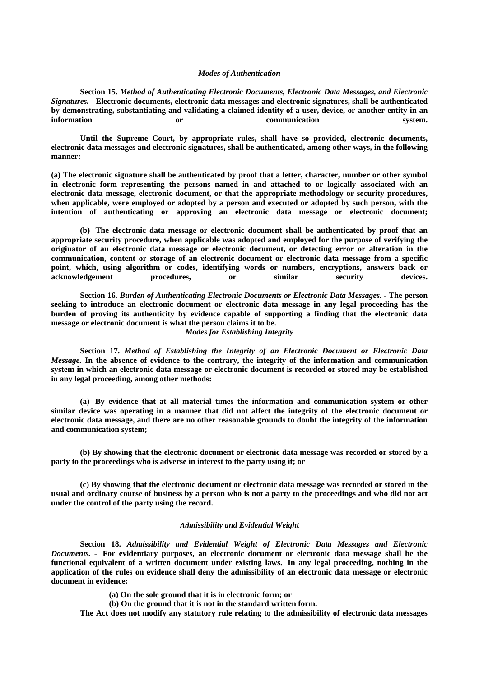#### *Modes of Authentication*

**Section 15.** *Method of Authenticating Electronic Documents, Electronic Data Messages, and Electronic Signatures. -* **Electronic documents, electronic data messages and electronic signatures, shall be authenticated by demonstrating, substantiating and validating a claimed identity of a user, device, or another entity in an information or communication system.**

**Until the Supreme Court, by appropriate rules, shall have so provided, electronic documents, electronic data messages and electronic signatures, shall be authenticated, among other ways, in the following manner:**

**(a) The electronic signature shall be authenticated by proof that a letter, character, number or other symbol in electronic form representing the persons named in and attached to or logically associated with an electronic data message, electronic document, or that the appropriate methodology or security procedures, when applicable, were employed or adopted by a person and executed or adopted by such person, with the intention of authenticating or approving an electronic data message or electronic document;**

**(b) The electronic data message or electronic document shall be authenticated by proof that an appropriate security procedure, when applicable was adopted and employed for the purpose of verifying the originator of an electronic data message or electronic document, or detecting error or alteration in the communication, content or storage of an electronic document or electronic data message from a specific point, which, using algorithm or codes, identifying words or numbers, encryptions, answers back or acknowledgement procedures, or similar security devices.**

**Section 16.** *Burden of Authenticating Electronic Documents or Electronic Data Messages. -* **The person seeking to introduce an electronic document or electronic data message in any legal proceeding has the burden of proving its authenticity by evidence capable of supporting a finding that the electronic data message or electronic document is what the person claims it to be.**

*Modes for Establishing Integrity*

**Section 17.** *Method of Establishing the Integrity of an Electronic Document or Electronic Data Message.* **In the absence of evidence to the contrary, the integrity of the information and communication system in which an electronic data message or electronic document is recorded or stored may be established in any legal proceeding, among other methods:**

**(a) By evidence that at all material times the information and communication system or other similar device was operating in a manner that did not affect the integrity of the electronic document or electronic data message, and there are no other reasonable grounds to doubt the integrity of the information and communication system;**

**(b) By showing that the electronic document or electronic data message was recorded or stored by a party to the proceedings who is adverse in interest to the party using it; or**

**(c) By showing that the electronic document or electronic data message was recorded or stored in the usual and ordinary course of business by a person who is not a party to the proceedings and who did not act under the control of the party using the record.**

#### *Admissibility and Evidential Weight*

**Section 18.** *Admissibility and Evidential Weight of Electronic Data Messages and Electronic Documents. -* **For evidentiary purposes, an electronic document or electronic data message shall be the functional equivalent of a written document under existing laws. In any legal proceeding, nothing in the application of the rules on evidence shall deny the admissibility of an electronic data message or electronic document in evidence:**

**(a) On the sole ground that it is in electronic form; or**

**(b) On the ground that it is not in the standard written form.**

**The Act does not modify any statutory rule relating to the admissibility of electronic data messages**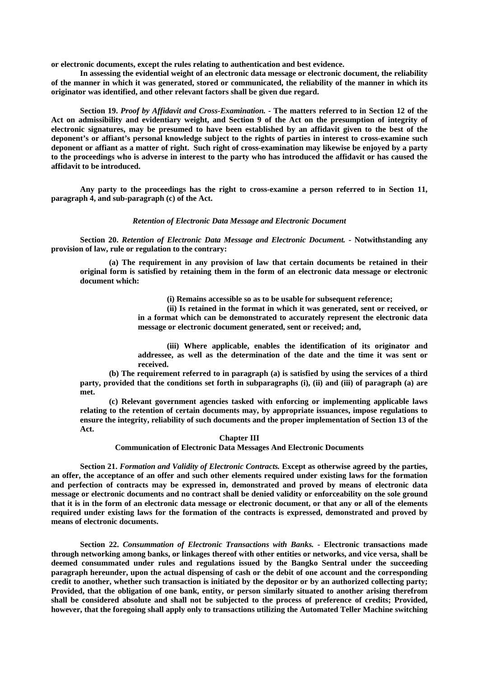**or electronic documents, except the rules relating to authentication and best evidence.**

**In assessing the evidential weight of an electronic data message or electronic document, the reliability of the manner in which it was generated, stored or communicated, the reliability of the manner in which its originator was identified, and other relevant factors shall be given due regard.**

**Section 19.** *Proof by Affidavit and Cross-Examination. -* **The matters referred to in Section 12 of the Act on admissibility and evidentiary weight, and Section 9 of the Act on the presumption of integrity of electronic signatures, may be presumed to have been established by an affidavit given to the best of the deponent's or affiant's personal knowledge subject to the rights of parties in interest to cross-examine such deponent or affiant as a matter of right. Such right of cross-examination may likewise be enjoyed by a party to the proceedings who is adverse in interest to the party who has introduced the affidavit or has caused the affidavit to be introduced.**

**Any party to the proceedings has the right to cross-examine a person referred to in Section 11, paragraph 4, and sub-paragraph (c) of the Act.**

#### *Retention of Electronic Data Message and Electronic Document*

**Section 20.** *Retention of Electronic Data Message and Electronic Document. -* **Notwithstanding any provision of law, rule or regulation to the contrary:**

**(a) The requirement in any provision of law that certain documents be retained in their original form is satisfied by retaining them in the form of an electronic data message or electronic document which:**

**(i) Remains accessible so as to be usable for subsequent reference;**

**(ii) Is retained in the format in which it was generated, sent or received, or** 

**in a format which can be demonstrated to accurately represent the electronic data message or electronic document generated, sent or received; and,**

**(iii) Where applicable, enables the identification of its originator and addressee, as well as the determination of the date and the time it was sent or received.**

**(b) The requirement referred to in paragraph (a) is satisfied by using the services of a third party, provided that the conditions set forth in subparagraphs (i), (ii) and (iii) of paragraph (a) are met.**

**(c) Relevant government agencies tasked with enforcing or implementing applicable laws relating to the retention of certain documents may, by appropriate issuances, impose regulations to ensure the integrity, reliability of such documents and the proper implementation of Section 13 of the Act.**

**Chapter III**

**Communication of Electronic Data Messages And Electronic Documents**

**Section 21.** *Formation and Validity of Electronic Contracts.* **Except as otherwise agreed by the parties, an offer, the acceptance of an offer and such other elements required under existing laws for the formation and perfection of contracts may be expressed in, demonstrated and proved by means of electronic data message or electronic documents and no contract shall be denied validity or enforceability on the sole ground that it is in the form of an electronic data message or electronic document, or that any or all of the elements required under existing laws for the formation of the contracts is expressed, demonstrated and proved by means of electronic documents.**

**Section 22.** *Consummation of Electronic Transactions with Banks. -* **Electronic transactions made through networking among banks, or linkages thereof with other entities or networks, and vice versa, shall be deemed consummated under rules and regulations issued by the Bangko Sentral under the succeeding paragraph hereunder, upon the actual dispensing of cash or the debit of one account and the corresponding credit to another, whether such transaction is initiated by the depositor or by an authorized collecting party; Provided, that the obligation of one bank, entity, or person similarly situated to another arising therefrom shall be considered absolute and shall not be subjected to the process of preference of credits; Provided, however, that the foregoing shall apply only to transactions utilizing the Automated Teller Machine switching**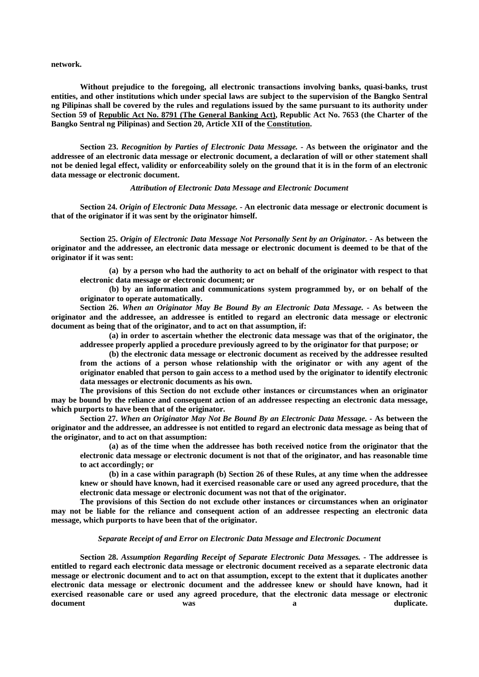**network.**

**Without prejudice to the foregoing, all electronic transactions involving banks, quasi-banks, trust entities, and other institutions which under special laws are subject to the supervision of the Bangko Sentral ng Pilipinas shall be covered by the rules and regulations issued by the same pursuant to its authority under Section 59 of Republic Act No. 8791 (The General Banking Act), Republic Act No. 7653 (the Charter of the Bangko Sentral ng Pilipinas) and Section 20, Article XII of the Constitution.**

**Section 23.** *Recognition by Parties of Electronic Data Message. -* **As between the originator and the addressee of an electronic data message or electronic document, a declaration of will or other statement shall not be denied legal effect, validity or enforceability solely on the ground that it is in the form of an electronic data message or electronic document.**

*Attribution of Electronic Data Message and Electronic Document*

**Section 24.** *Origin of Electronic Data Message. -* **An electronic data message or electronic document is that of the originator if it was sent by the originator himself.**

**Section 25.** *Origin of Electronic Data Message Not Personally Sent by an Originator. -* **As between the originator and the addressee, an electronic data message or electronic document is deemed to be that of the originator if it was sent:**

**(a) by a person who had the authority to act on behalf of the originator with respect to that electronic data message or electronic document; or**

**(b) by an information and communications system programmed by, or on behalf of the originator to operate automatically.**

**Section 26.** *When an Originator May Be Bound By an Electronic Data Message. -* **As between the originator and the addressee, an addressee is entitled to regard an electronic data message or electronic document as being that of the originator, and to act on that assumption, if:**

**(a) in order to ascertain whether the electronic data message was that of the originator, the addressee properly applied a procedure previously agreed to by the originator for that purpose; or**

**(b) the electronic data message or electronic document as received by the addressee resulted from the actions of a person whose relationship with the originator or with any agent of the originator enabled that person to gain access to a method used by the originator to identify electronic data messages or electronic documents as his own.**

**The provisions of this Section do not exclude other instances or circumstances when an originator may be bound by the reliance and consequent action of an addressee respecting an electronic data message, which purports to have been that of the originator.**

**Section 27.** *When an Originator May Not Be Bound By an Electronic Data Message. -* **As between the originator and the addressee, an addressee is not entitled to regard an electronic data message as being that of the originator, and to act on that assumption:**

**(a) as of the time when the addressee has both received notice from the originator that the electronic data message or electronic document is not that of the originator, and has reasonable time to act accordingly; or**

**(b) in a case within paragraph (b) Section 26 of these Rules, at any time when the addressee knew or should have known, had it exercised reasonable care or used any agreed procedure, that the electronic data message or electronic document was not that of the originator.**

**The provisions of this Section do not exclude other instances or circumstances when an originator may not be liable for the reliance and consequent action of an addressee respecting an electronic data message, which purports to have been that of the originator.**

### *Separate Receipt of and Error on Electronic Data Message and Electronic Document*

**Section 28.** *Assumption Regarding Receipt of Separate Electronic Data Messages.* **- The addressee is entitled to regard each electronic data message or electronic document received as a separate electronic data message or electronic document and to act on that assumption, except to the extent that it duplicates another electronic data message or electronic document and the addressee knew or should have known, had it exercised reasonable care or used any agreed procedure, that the electronic data message or electronic**  document was was a duplicate.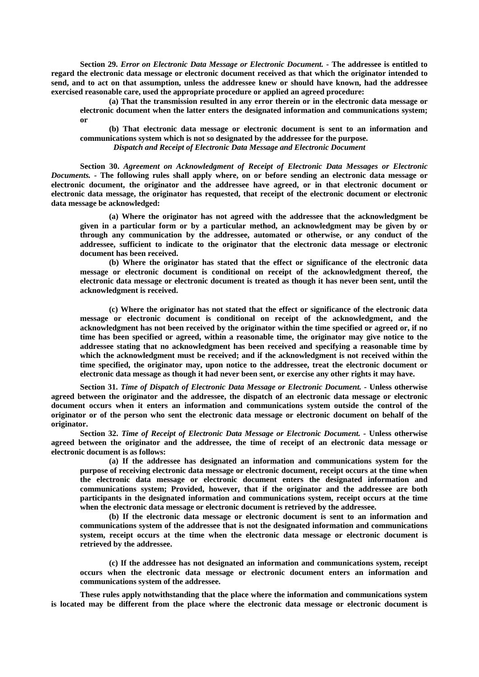**Section 29.** *Error on Electronic Data Message or Electronic Document.* **- The addressee is entitled to regard the electronic data message or electronic document received as that which the originator intended to send, and to act on that assumption, unless the addressee knew or should have known, had the addressee exercised reasonable care, used the appropriate procedure or applied an agreed procedure:**

**(a) That the transmission resulted in any error therein or in the electronic data message or electronic document when the latter enters the designated information and communications system; or**

**(b) That electronic data message or electronic document is sent to an information and communications system which is not so designated by the addressee for the purpose.**

*Dispatch and Receipt of Electronic Data Message and Electronic Document*

**Section 30.** *Agreement on Acknowledgment of Receipt of Electronic Data Messages or Electronic Documents. -* **The following rules shall apply where, on or before sending an electronic data message or electronic document, the originator and the addressee have agreed, or in that electronic document or electronic data message, the originator has requested, that receipt of the electronic document or electronic data message be acknowledged:**

**(a) Where the originator has not agreed with the addressee that the acknowledgment be given in a particular form or by a particular method, an acknowledgment may be given by or through any communication by the addressee, automated or otherwise, or any conduct of the addressee, sufficient to indicate to the originator that the electronic data message or electronic document has been received.**

**(b) Where the originator has stated that the effect or significance of the electronic data message or electronic document is conditional on receipt of the acknowledgment thereof, the electronic data message or electronic document is treated as though it has never been sent, until the acknowledgment is received.**

**(c) Where the originator has not stated that the effect or significance of the electronic data message or electronic document is conditional on receipt of the acknowledgment, and the acknowledgment has not been received by the originator within the time specified or agreed or, if no time has been specified or agreed, within a reasonable time, the originator may give notice to the addressee stating that no acknowledgment has been received and specifying a reasonable time by which the acknowledgment must be received; and if the acknowledgment is not received within the time specified, the originator may, upon notice to the addressee, treat the electronic document or electronic data message as though it had never been sent, or exercise any other rights it may have.**

**Section 31.** *Time of Dispatch of Electronic Data Message or Electronic Document.* **- Unless otherwise agreed between the originator and the addressee, the dispatch of an electronic data message or electronic document occurs when it enters an information and communications system outside the control of the originator or of the person who sent the electronic data message or electronic document on behalf of the originator.**

**Section 32.** *Time of Receipt of Electronic Data Message or Electronic Document. -* **Unless otherwise agreed between the originator and the addressee, the time of receipt of an electronic data message or electronic document is as follows:**

**(a) If the addressee has designated an information and communications system for the purpose of receiving electronic data message or electronic document, receipt occurs at the time when the electronic data message or electronic document enters the designated information and communications system; Provided, however, that if the originator and the addressee are both participants in the designated information and communications system, receipt occurs at the time when the electronic data message or electronic document is retrieved by the addressee.**

**(b) If the electronic data message or electronic document is sent to an information and communications system of the addressee that is not the designated information and communications system, receipt occurs at the time when the electronic data message or electronic document is retrieved by the addressee.**

**(c) If the addressee has not designated an information and communications system, receipt occurs when the electronic data message or electronic document enters an information and communications system of the addressee.**

**These rules apply notwithstanding that the place where the information and communications system is located may be different from the place where the electronic data message or electronic document is**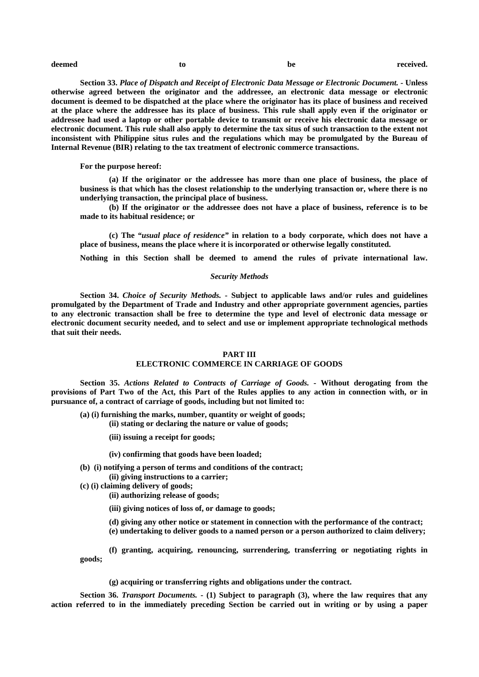**Section 33.** *Place of Dispatch and Receipt of Electronic Data Message or Electronic Document. -* **Unless otherwise agreed between the originator and the addressee, an electronic data message or electronic document is deemed to be dispatched at the place where the originator has its place of business and received at the place where the addressee has its place of business. This rule shall apply even if the originator or addressee had used a laptop or other portable device to transmit or receive his electronic data message or electronic document. This rule shall also apply to determine the tax situs of such transaction to the extent not inconsistent with Philippine situs rules and the regulations which may be promulgated by the Bureau of Internal Revenue (BIR) relating to the tax treatment of electronic commerce transactions.**

#### **For the purpose hereof:**

**(a) If the originator or the addressee has more than one place of business, the place of business is that which has the closest relationship to the underlying transaction or, where there is no underlying transaction, the principal place of business.**

**(b) If the originator or the addressee does not have a place of business, reference is to be made to its habitual residence; or**

**(c) The** *"usual place of residence"* **in relation to a body corporate, which does not have a place of business, means the place where it is incorporated or otherwise legally constituted.**

**Nothing in this Section shall be deemed to amend the rules of private international law.**

### *Security Methods*

**Section 34.** *Choice of Security Methods.* **- Subject to applicable laws and/or rules and guidelines promulgated by the Department of Trade and Industry and other appropriate government agencies, parties to any electronic transaction shall be free to determine the type and level of electronic data message or electronic document security needed, and to select and use or implement appropriate technological methods that suit their needs.**

#### **PART III**

# **ELECTRONIC COMMERCE IN CARRIAGE OF GOODS**

**Section 35.** *Actions Related to Contracts of Carriage of Goods.* **- Without derogating from the provisions of Part Two of the Act, this Part of the Rules applies to any action in connection with, or in pursuance of, a contract of carriage of goods, including but not limited to:**

- **(a) (i) furnishing the marks, number, quantity or weight of goods;**
	- **(ii) stating or declaring the nature or value of goods;**
	- **(iii) issuing a receipt for goods;**
	- **(iv) confirming that goods have been loaded;**
- **(b) (i) notifying a person of terms and conditions of the contract; (ii) giving instructions to a carrier;**
- **(c) (i) claiming delivery of goods;**
	- **(ii) authorizing release of goods;**
	- **(iii) giving notices of loss of, or damage to goods;**
	- **(d) giving any other notice or statement in connection with the performance of the contract; (e) undertaking to deliver goods to a named person or a person authorized to claim delivery;**

**(f) granting, acquiring, renouncing, surrendering, transferring or negotiating rights in goods;**

**(g) acquiring or transferring rights and obligations under the contract.**

**Section 36.** *Transport Documents.* **- (1) Subject to paragraph (3), where the law requires that any action referred to in the immediately preceding Section be carried out in writing or by using a paper**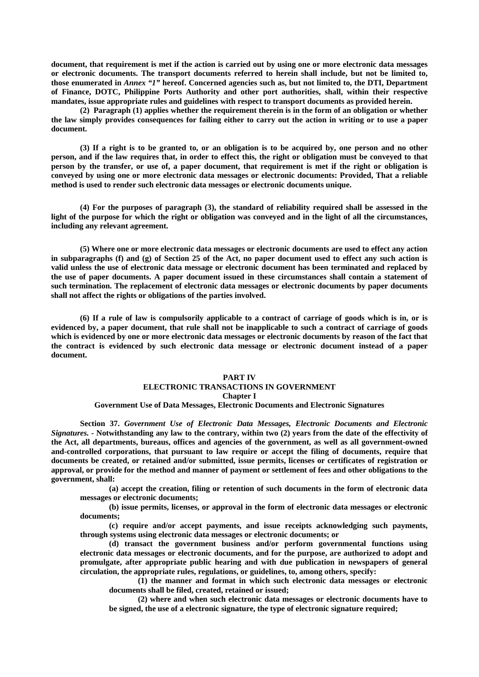**document, that requirement is met if the action is carried out by using one or more electronic data messages or electronic documents. The transport documents referred to herein shall include, but not be limited to, those enumerated in** *Annex "1"* **hereof. Concerned agencies such as, but not limited to, the DTI, Department of Finance, DOTC, Philippine Ports Authority and other port authorities, shall, within their respective mandates, issue appropriate rules and guidelines with respect to transport documents as provided herein.**

**(2) Paragraph (1) applies whether the requirement therein is in the form of an obligation or whether the law simply provides consequences for failing either to carry out the action in writing or to use a paper document.**

**(3) If a right is to be granted to, or an obligation is to be acquired by, one person and no other person, and if the law requires that, in order to effect this, the right or obligation must be conveyed to that person by the transfer, or use of, a paper document, that requirement is met if the right or obligation is conveyed by using one or more electronic data messages or electronic documents: Provided, That a reliable method is used to render such electronic data messages or electronic documents unique.**

**(4) For the purposes of paragraph (3), the standard of reliability required shall be assessed in the light of the purpose for which the right or obligation was conveyed and in the light of all the circumstances, including any relevant agreement.**

**(5) Where one or more electronic data messages or electronic documents are used to effect any action in subparagraphs (f) and (g) of Section 25 of the Act, no paper document used to effect any such action is valid unless the use of electronic data message or electronic document has been terminated and replaced by the use of paper documents. A paper document issued in these circumstances shall contain a statement of such termination. The replacement of electronic data messages or electronic documents by paper documents shall not affect the rights or obligations of the parties involved.**

**(6) If a rule of law is compulsorily applicable to a contract of carriage of goods which is in, or is evidenced by, a paper document, that rule shall not be inapplicable to such a contract of carriage of goods which is evidenced by one or more electronic data messages or electronic documents by reason of the fact that the contract is evidenced by such electronic data message or electronic document instead of a paper document.**

#### **PART IV**

# **ELECTRONIC TRANSACTIONS IN GOVERNMENT**

**Chapter I**

#### **Government Use of Data Messages, Electronic Documents and Electronic Signatures**

**Section 37.** *Government Use of Electronic Data Messages, Electronic Documents and Electronic Signatures.* **- Notwithstanding any law to the contrary, within two (2) years from the date of the effectivity of the Act, all departments, bureaus, offices and agencies of the government, as well as all government-owned and-controlled corporations, that pursuant to law require or accept the filing of documents, require that documents be created, or retained and/or submitted, issue permits, licenses or certificates of registration or approval, or provide for the method and manner of payment or settlement of fees and other obligations to the government, shall:**

**(a) accept the creation, filing or retention of such documents in the form of electronic data messages or electronic documents;**

**(b) issue permits, licenses, or approval in the form of electronic data messages or electronic documents;**

**(c) require and/or accept payments, and issue receipts acknowledging such payments, through systems using electronic data messages or electronic documents; or**

**(d) transact the government business and/or perform governmental functions using electronic data messages or electronic documents, and for the purpose, are authorized to adopt and promulgate, after appropriate public hearing and with due publication in newspapers of general circulation, the appropriate rules, regulations, or guidelines, to, among others, specify:**

**(1) the manner and format in which such electronic data messages or electronic documents shall be filed, created, retained or issued;**

**(2) where and when such electronic data messages or electronic documents have to be signed, the use of a electronic signature, the type of electronic signature required;**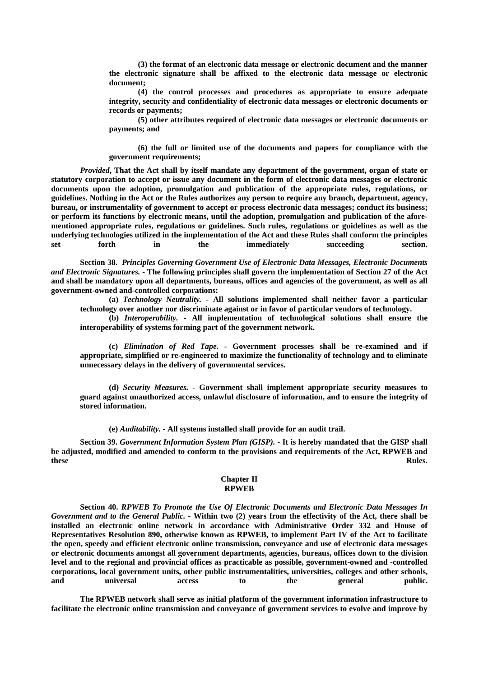**(3) the format of an electronic data message or electronic document and the manner the electronic signature shall be affixed to the electronic data message or electronic document;**

**(4) the control processes and procedures as appropriate to ensure adequate integrity, security and confidentiality of electronic data messages or electronic documents or records or payments;**

**(5) other attributes required of electronic data messages or electronic documents or payments; and**

**(6) the full or limited use of the documents and papers for compliance with the government requirements;**

*Provided***, That the Act shall by itself mandate any department of the government, organ of state or statutory corporation to accept or issue any document in the form of electronic data messages or electronic documents upon the adoption, promulgation and publication of the appropriate rules, regulations, or guidelines. Nothing in the Act or the Rules authorizes any person to require any branch, department, agency, bureau, or instrumentality of government to accept or process electronic data messages; conduct its business; or perform its functions by electronic means, until the adoption, promulgation and publication of the aforementioned appropriate rules, regulations or guidelines. Such rules, regulations or guidelines as well as the underlying technologies utilized in the implementation of the Act and these Rules shall conform the principles set forth in the immediately succeeding section.**

**Section 38.** *Principles Governing Government Use of Electronic Data Messages, Electronic Documents and Electronic Signatures. -* **The following principles shall govern the implementation of Section 27 of the Act and shall be mandatory upon all departments, bureaus, offices and agencies of the government, as well as all government-owned and-controlled corporations:**

**(a)** *Technology Neutrality.* **- All solutions implemented shall neither favor a particular technology over another nor discriminate against or in favor of particular vendors of technology.**

**(b)** *Interoperability. -* **All implementation of technological solutions shall ensure the interoperability of systems forming part of the government network.**

**(c)** *Elimination of Red Tape. -* **Government processes shall be re-examined and if appropriate, simplified or re-engineered to maximize the functionality of technology and to eliminate unnecessary delays in the delivery of governmental services.**

**(d)** *Security Measures. -* **Government shall implement appropriate security measures to guard against unauthorized access, unlawful disclosure of information, and to ensure the integrity of stored information.**

**(e)** *Auditability.* **- All systems installed shall provide for an audit trail.**

**Section 39.** *Government Information System Plan (GISP).* **- It is hereby mandated that the GISP shall be adjusted, modified and amended to conform to the provisions and requirements of the Act, RPWEB and these** Rules.

## **Chapter II RPWEB**

**Section 40.** *RPWEB To Promote the Use Of Electronic Documents and Electronic Data Messages In Government and to the General Public. -* **Within two (2) years from the effectivity of the Act, there shall be installed an electronic online network in accordance with Administrative Order 332 and House of Representatives Resolution 890, otherwise known as RPWEB, to implement Part IV of the Act to facilitate the open, speedy and efficient electronic online transmission, conveyance and use of electronic data messages or electronic documents amongst all government departments, agencies, bureaus, offices down to the division level and to the regional and provincial offices as practicable as possible, government-owned and -controlled corporations, local government units, other public instrumentalities, universities, colleges and other schools, and universal access to the general public.**

**The RPWEB network shall serve as initial platform of the government information infrastructure to facilitate the electronic online transmission and conveyance of government services to evolve and improve by**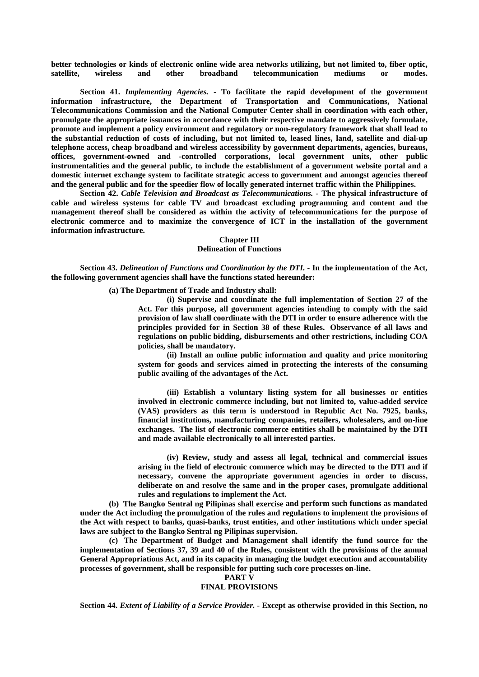**better technologies or kinds of electronic online wide area networks utilizing, but not limited to, fiber optic, satellite, wireless and other broadband telecommunication mediums or modes.**

**Section 41.** *Implementing Agencies.* **- To facilitate the rapid development of the government information infrastructure, the Department of Transportation and Communications, National Telecommunications Commission and the National Computer Center shall in coordination with each other, promulgate the appropriate issuances in accordance with their respective mandate to aggressively formulate, promote and implement a policy environment and regulatory or non-regulatory framework that shall lead to the substantial reduction of costs of including, but not limited to, leased lines, land, satellite and dial-up telephone access, cheap broadband and wireless accessibility by government departments, agencies, bureaus, offices, government-owned and -controlled corporations, local government units, other public instrumentalities and the general public, to include the establishment of a government website portal and a domestic internet exchange system to facilitate strategic access to government and amongst agencies thereof and the general public and for the speedier flow of locally generated internet traffic within the Philippines.**

**Section 42.** *Cable Television and Broadcast as Telecommunications. -* **The physical infrastructure of cable and wireless systems for cable TV and broadcast excluding programming and content and the management thereof shall be considered as within the activity of telecommunications for the purpose of electronic commerce and to maximize the convergence of ICT in the installation of the government information infrastructure.**

# **Chapter III Delineation of Functions**

**Section 43.** *Delineation of Functions and Coordination by the DTI. -* **In the implementation of the Act, the following government agencies shall have the functions stated hereunder:**

**(a) The Department of Trade and Industry shall:**

**(i) Supervise and coordinate the full implementation of Section 27 of the Act. For this purpose, all government agencies intending to comply with the said provision of law shall coordinate with the DTI in order to ensure adherence with the principles provided for in Section 38 of these Rules. Observance of all laws and regulations on public bidding, disbursements and other restrictions, including COA policies, shall be mandatory.**

**(ii) Install an online public information and quality and price monitoring system for goods and services aimed in protecting the interests of the consuming public availing of the advantages of the Act.**

**(iii) Establish a voluntary listing system for all businesses or entities involved in electronic commerce including, but not limited to, value-added service (VAS) providers as this term is understood in Republic Act No. 7925, banks, financial institutions, manufacturing companies, retailers, wholesalers, and on-line exchanges. The list of electronic commerce entities shall be maintained by the DTI and made available electronically to all interested parties.**

**(iv) Review, study and assess all legal, technical and commercial issues arising in the field of electronic commerce which may be directed to the DTI and if necessary, convene the appropriate government agencies in order to discuss, deliberate on and resolve the same and in the proper cases, promulgate additional rules and regulations to implement the Act.**

**(b) The Bangko Sentral ng Pilipinas shall exercise and perform such functions as mandated under the Act including the promulgation of the rules and regulations to implement the provisions of the Act with respect to banks, quasi-banks, trust entities, and other institutions which under special laws are subject to the Bangko Sentral ng Pilipinas supervision.**

**(c) The Department of Budget and Management shall identify the fund source for the implementation of Sections 37, 39 and 40 of the Rules, consistent with the provisions of the annual General Appropriations Act, and in its capacity in managing the budget execution and accountability processes of government, shall be responsible for putting such core processes on-line.**

**PART V**

# **FINAL PROVISIONS**

**Section 44.** *Extent of Liability of a Service Provider. -* **Except as otherwise provided in this Section, no**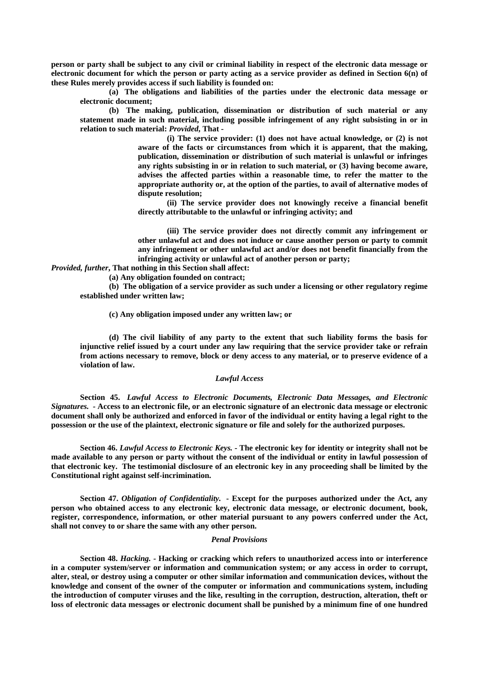**person or party shall be subject to any civil or criminal liability in respect of the electronic data message or electronic document for which the person or party acting as a service provider as defined in Section 6(n) of these Rules merely provides access if such liability is founded on:**

**(a) The obligations and liabilities of the parties under the electronic data message or electronic document;**

**(b) The making, publication, dissemination or distribution of such material or any statement made in such material, including possible infringement of any right subsisting in or in relation to such material:** *Provided***, That -**

> **(i) The service provider: (1) does not have actual knowledge, or (2) is not aware of the facts or circumstances from which it is apparent, that the making, publication, dissemination or distribution of such material is unlawful or infringes any rights subsisting in or in relation to such material, or (3) having become aware, advises the affected parties within a reasonable time, to refer the matter to the appropriate authority or, at the option of the parties, to avail of alternative modes of dispute resolution;**

> **(ii) The service provider does not knowingly receive a financial benefit directly attributable to the unlawful or infringing activity; and**

> **(iii) The service provider does not directly commit any infringement or other unlawful act and does not induce or cause another person or party to commit any infringement or other unlawful act and/or does not benefit financially from the infringing activity or unlawful act of another person or party;**

*Provided, further***, That nothing in this Section shall affect:**

**(a) Any obligation founded on contract;**

**(b) The obligation of a service provider as such under a licensing or other regulatory regime established under written law;**

**(c) Any obligation imposed under any written law; or**

**(d) The civil liability of any party to the extent that such liability forms the basis for injunctive relief issued by a court under any law requiring that the service provider take or refrain from actions necessary to remove, block or deny access to any material, or to preserve evidence of a violation of law.**

#### *Lawful Access*

**Section 45.** *Lawful Access to Electronic Documents, Electronic Data Messages, and Electronic Signatures. -* **Access to an electronic file, or an electronic signature of an electronic data message or electronic document shall only be authorized and enforced in favor of the individual or entity having a legal right to the possession or the use of the plaintext, electronic signature or file and solely for the authorized purposes.**

**Section 46.** *Lawful Access to Electronic Keys. -* **The electronic key for identity or integrity shall not be made available to any person or party without the consent of the individual or entity in lawful possession of that electronic key. The testimonial disclosure of an electronic key in any proceeding shall be limited by the Constitutional right against self-incrimination.**

**Section 47.** *Obligation of Confidentiality.* **- Except for the purposes authorized under the Act, any person who obtained access to any electronic key, electronic data message, or electronic document, book, register, correspondence, information, or other material pursuant to any powers conferred under the Act, shall not convey to or share the same with any other person.**

#### *Penal Provisions*

**Section 48.** *Hacking. -* **Hacking or cracking which refers to unauthorized access into or interference in a computer system/server or information and communication system; or any access in order to corrupt, alter, steal, or destroy using a computer or other similar information and communication devices, without the knowledge and consent of the owner of the computer or information and communications system, including the introduction of computer viruses and the like, resulting in the corruption, destruction, alteration, theft or loss of electronic data messages or electronic document shall be punished by a minimum fine of one hundred**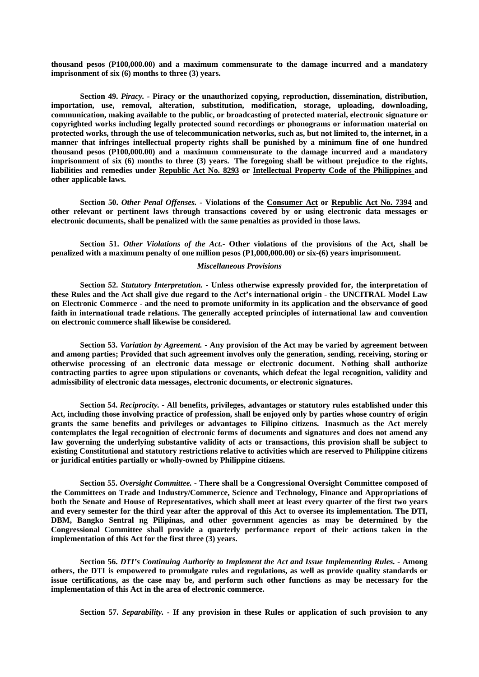**thousand pesos (P100,000.00) and a maximum commensurate to the damage incurred and a mandatory imprisonment of six (6) months to three (3) years.**

**Section 49.** *Piracy. -* **Piracy or the unauthorized copying, reproduction, dissemination, distribution, importation, use, removal, alteration, substitution, modification, storage, uploading, downloading, communication, making available to the public, or broadcasting of protected material, electronic signature or copyrighted works including legally protected sound recordings or phonograms or information material on protected works, through the use of telecommunication networks, such as, but not limited to, the internet, in a manner that infringes intellectual property rights shall be punished by a minimum fine of one hundred thousand pesos (P100,000.00) and a maximum commensurate to the damage incurred and a mandatory imprisonment of six (6) months to three (3) years. The foregoing shall be without prejudice to the rights, liabilities and remedies under Republic Act No. 8293 or Intellectual Property Code of the Philippines and other applicable laws.**

**Section 50.** *Other Penal Offenses. -* **Violations of the Consumer Act or Republic Act No. 7394 and other relevant or pertinent laws through transactions covered by or using electronic data messages or electronic documents, shall be penalized with the same penalties as provided in those laws.**

**Section 51.** *Other Violations of the Act.-* **Other violations of the provisions of the Act, shall be penalized with a maximum penalty of one million pesos (P1,000,000.00) or six-(6) years imprisonment.**

## *Miscellaneous Provisions*

**Section 52.** *Statutory Interpretation.* **- Unless otherwise expressly provided for, the interpretation of these Rules and the Act shall give due regard to the Act's international origin - the UNCITRAL Model Law on Electronic Commerce - and the need to promote uniformity in its application and the observance of good faith in international trade relations. The generally accepted principles of international law and convention on electronic commerce shall likewise be considered.**

**Section 53.** *Variation by Agreement.* **- Any provision of the Act may be varied by agreement between and among parties; Provided that such agreement involves only the generation, sending, receiving, storing or otherwise processing of an electronic data message or electronic document. Nothing shall authorize contracting parties to agree upon stipulations or covenants, which defeat the legal recognition, validity and admissibility of electronic data messages, electronic documents, or electronic signatures.**

**Section 54.** *Reciprocity.* **- All benefits, privileges, advantages or statutory rules established under this Act, including those involving practice of profession, shall be enjoyed only by parties whose country of origin grants the same benefits and privileges or advantages to Filipino citizens. Inasmuch as the Act merely contemplates the legal recognition of electronic forms of documents and signatures and does not amend any law governing the underlying substantive validity of acts or transactions, this provision shall be subject to existing Constitutional and statutory restrictions relative to activities which are reserved to Philippine citizens or juridical entities partially or wholly-owned by Philippine citizens.**

**Section 55.** *Oversight Committee. -* **There shall be a Congressional Oversight Committee composed of the Committees on Trade and Industry/Commerce, Science and Technology, Finance and Appropriations of both the Senate and House of Representatives, which shall meet at least every quarter of the first two years and every semester for the third year after the approval of this Act to oversee its implementation. The DTI, DBM, Bangko Sentral ng Pilipinas, and other government agencies as may be determined by the Congressional Committee shall provide a quarterly performance report of their actions taken in the implementation of this Act for the first three (3) years.**

**Section 56.** *DTI's Continuing Authority to Implement the Act and Issue Implementing Rules. -* **Among others, the DTI is empowered to promulgate rules and regulations, as well as provide quality standards or issue certifications, as the case may be, and perform such other functions as may be necessary for the implementation of this Act in the area of electronic commerce.**

**Section 57.** *Separability.* **- If any provision in these Rules or application of such provision to any**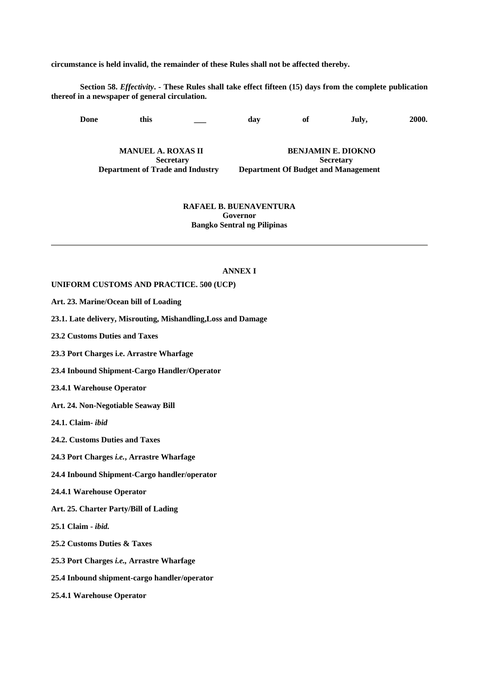**circumstance is held invalid, the remainder of these Rules shall not be affected thereby.**

**Section 58.** *Effectivity***. - These Rules shall take effect fifteen (15) days from the complete publication thereof in a newspaper of general circulation.**

**Done this \_\_\_ day of July, 2000.**

**MANUEL A. ROXAS II BENJAMIN E. DIOKNO Secretary** Secretary **Department of Trade and Industry Department Of Budget and Management**

# **RAFAEL B. BUENAVENTURA Governor Bangko Sentral ng Pilipinas**

# **ANNEX I**

**UNIFORM CUSTOMS AND PRACTICE. 500 (UCP)**

- **Art. 23. Marine/Ocean bill of Loading**
- **23.1. Late delivery, Misrouting, Mishandling,Loss and Damage**
- **23.2 Customs Duties and Taxes**
- **23.3 Port Charges i.e. Arrastre Wharfage**
- **23.4 Inbound Shipment-Cargo Handler/Operator**
- **23.4.1 Warehouse Operator**
- **Art. 24. Non-Negotiable Seaway Bill**
- **24.1. Claim-** *ibid*
- **24.2. Customs Duties and Taxes**
- **24.3 Port Charges** *i.e.***, Arrastre Wharfage**
- **24.4 Inbound Shipment-Cargo handler/operator**
- **24.4.1 Warehouse Operator**
- **Art. 25. Charter Party/Bill of Lading**
- **25.1 Claim** *ibid.*
- **25.2 Customs Duties & Taxes**
- **25.3 Port Charges** *i.e.,* **Arrastre Wharfage**
- **25.4 Inbound shipment-cargo handler/operator**
- **25.4.1 Warehouse Operator**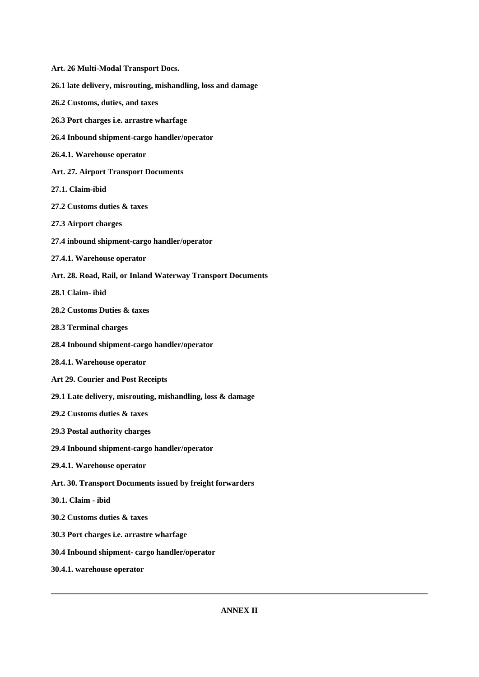- **Art. 26 Multi-Modal Transport Docs. 26.1 late delivery, misrouting, mishandling, loss and damage 26.2 Customs, duties, and taxes 26.3 Port charges i.e. arrastre wharfage 26.4 Inbound shipment-cargo handler/operator 26.4.1. Warehouse operator Art. 27. Airport Transport Documents 27.1. Claim-ibid 27.2 Customs duties & taxes 27.3 Airport charges 27.4 inbound shipment-cargo handler/operator 27.4.1. Warehouse operator Art. 28. Road, Rail, or Inland Waterway Transport Documents 28.1 Claim- ibid 28.2 Customs Duties & taxes 28.3 Terminal charges 28.4 Inbound shipment-cargo handler/operator 28.4.1. Warehouse operator Art 29. Courier and Post Receipts 29.1 Late delivery, misrouting, mishandling, loss & damage 29.2 Customs duties & taxes 29.3 Postal authority charges 29.4 Inbound shipment-cargo handler/operator 29.4.1. Warehouse operator Art. 30. Transport Documents issued by freight forwarders 30.1. Claim - ibid 30.2 Customs duties & taxes 30.3 Port charges i.e. arrastre wharfage 30.4 Inbound shipment- cargo handler/operator**
- **30.4.1. warehouse operator**